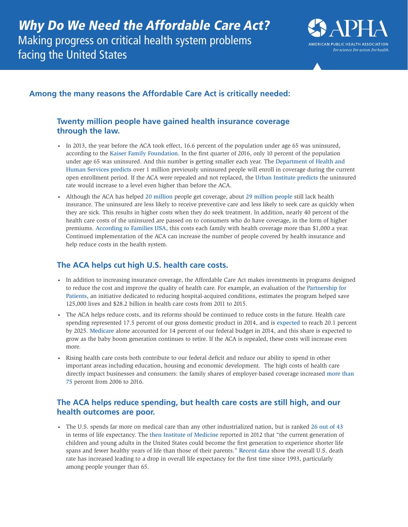

## **Among the many reasons the Affordable Care Act is critically needed:**

#### **Twenty million people have gained health insurance coverage through the law.**

- In 2013, the year before the ACA took effect, 16.6 percent of the population under age 65 was uninsured, according to the [Kaiser Family Foundation](http://kff.org/uninsured/perspective/the-affordable-care-acts-little-noticed-success-cutting-the-uninsured-rate/). In the first quarter of 2016, only 10 percent of the population under age 65 was uninsured. And this number is getting smaller each year. The [Department of Health and](https://aspe.hhs.gov/sites/default/files/pdf/211056/EnrollmentProjections.pdf)  [Human Services predicts](https://aspe.hhs.gov/sites/default/files/pdf/211056/EnrollmentProjections.pdf) over 1 million previously uninsured people will enroll in coverage during the current open enrollment period. If the ACA were repealed and not replaced, the [Urban Institute predicts](http://www.urban.org/research/publication/implications-partial-repeal-aca-through-reconciliation) the uninsured rate would increase to a level even higher than before the ACA.
- Although the ACA has helped [20 million](https://www.hhs.gov/about/news/2016/03/03/20-million-people-have-gained-health-insurance-coverage-because-affordable-care-act-new-estimates) people get coverage, about [29 million people](http://kff.org/uninsured/perspective/the-affordable-care-acts-little-noticed-success-cutting-the-uninsured-rate/) still lack health insurance. The uninsured are less likely to receive preventive care and less likely to seek care as quickly when they are sick. This results in higher costs when they do seek treatment. In addition, nearly 40 percent of the health care costs of the uninsured are passed on to consumers who do have coverage, in the form of higher premiums. [According to Families USA](http://www.familiesusa.org/resources/publications/reports/hidden-health-tax.html), this costs each family with health coverage more than \$1,000 a year. Continued implementation of the ACA can increase the number of people covered by health insurance and help reduce costs in the health system.

# **The ACA helps cut high U.S. health care costs.**

- In addition to increasing insurance coverage, the Affordable Care Act makes investments in programs designed to reduce the cost and improve the quality of health care. For example, an evaluation of the [Partnership for](http://www.ahrq.gov/professionals/quality-patient-safety/pfp/2015-interim.html)  [Patients](http://www.ahrq.gov/professionals/quality-patient-safety/pfp/2015-interim.html), an initiative dedicated to reducing hospital-acquired conditions, estimates the program helped save 125,000 lives and \$28.2 billion in health care costs from 2011 to 2015.
- The ACA helps reduce costs, and its reforms should be continued to reduce costs in the future. Health care spending represented 17.5 percent of our gross domestic product in 2014, and is [expected](http://www.cms.gov/Research-Statistics-Data-and-Systems/Statistics-Trends-and-Reports/NationalHealthExpendData/NationalHealthAccountsProjected.html) to reach 20.1 percent by 2025. [Medicare](http://www.kff.org/medicare/upload/7305-06.pdf) alone accounted for 14 percent of our federal budget in 2014, and this share is expected to grow as the baby boom generation continues to retire. If the ACA is repealed, these costs will increase even more.
- Rising health care costs both contribute to our federal deficit and reduce our ability to spend in other important areas including education, housing and economic development. The high costs of health care directly impact businesses and consumers: the family shares of employer-based coverage increased [more than](http://kff.org/report-section/ehbs-2016-summary-of-findings/)  [75](http://kff.org/report-section/ehbs-2016-summary-of-findings/) percent from 2006 to 2016.

### **The ACA helps reduce spending, but health care costs are still high, and our health outcomes are poor.**

• The U.S. spends far more on medical care than any other industrialized nation, but is ranked [26 out of 43](https://data.oecd.org/healthstat/life-expectancy-at-birth.htm) in terms of life expectancy. The [then Institute of Medicine](http://www.nationalacademies.org/hmd/Reports/2012/For-the-Publics-Health-Investing-in-a-Healthier-Future.aspx) reported in 2012 that "the current generation of children and young adults in the United States could become the first generation to experience shorter life spans and fewer healthy years of life than those of their parents." [Recent data](https://www.cdc.gov/nchs/products/databriefs/db267.htm) show the overall U.S. death rate has increased leading to a drop in overall life expectancy for the first time since 1993, particularly among people younger than 65.